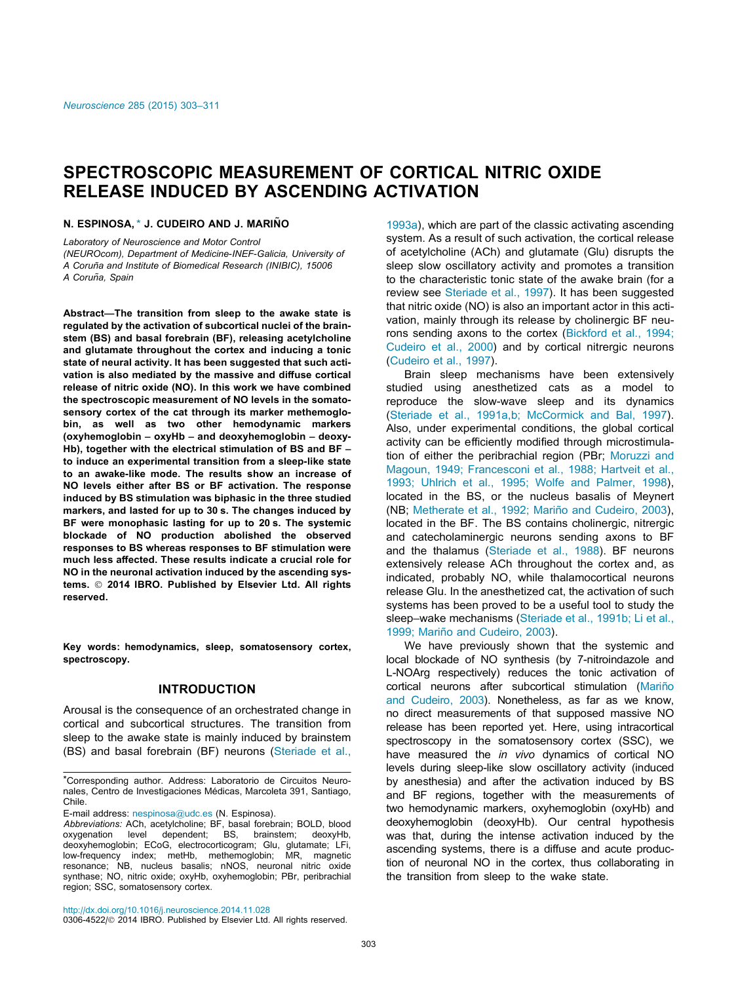# SPECTROSCOPIC MEASUREMENT OF CORTICAL NITRIC OXIDE RELEASE INDUCED BY ASCENDING ACTIVATION

N. ESPINOSA,\* J. CUDEIRO AND J. MARIN˜O

Laboratory of Neuroscience and Motor Control (NEUROcom), Department of Medicine-INEF-Galicia, University of A Coruña and Institute of Biomedical Research (INIBIC), 15006 A Coruña, Spain

Abstract—The transition from sleep to the awake state is regulated by the activation of subcortical nuclei of the brainstem (BS) and basal forebrain (BF), releasing acetylcholine and glutamate throughout the cortex and inducing a tonic state of neural activity. It has been suggested that such activation is also mediated by the massive and diffuse cortical release of nitric oxide (NO). In this work we have combined the spectroscopic measurement of NO levels in the somatosensory cortex of the cat through its marker methemoglobin, as well as two other hemodynamic markers (oxyhemoglobin – oxyHb – and deoxyhemoglobin – deoxy-Hb), together with the electrical stimulation of BS and BF to induce an experimental transition from a sleep-like state to an awake-like mode. The results show an increase of NO levels either after BS or BF activation. The response induced by BS stimulation was biphasic in the three studied markers, and lasted for up to 30 s. The changes induced by BF were monophasic lasting for up to 20 s. The systemic blockade of NO production abolished the observed responses to BS whereas responses to BF stimulation were much less affected. These results indicate a crucial role for NO in the neuronal activation induced by the ascending systems. © 2014 IBRO. Published by Elsevier Ltd. All rights reserved.

Key words: hemodynamics, sleep, somatosensory cortex, spectroscopy.

## INTRODUCTION

Arousal is the consequence of an orchestrated change in cortical and subcortical structures. The transition from sleep to the awake state is mainly induced by brainstem (BS) and basal forebrain (BF) neurons [\(Steriade et al.,](#page-7-0)

E-mail address: [nespinosa@udc.es](mailto:nespinosa@udc.es) (N. Espinosa).

[1993a](#page-7-0)), which are part of the classic activating ascending system. As a result of such activation, the cortical release of acetylcholine (ACh) and glutamate (Glu) disrupts the sleep slow oscillatory activity and promotes a transition to the characteristic tonic state of the awake brain (for a review see [Steriade et al., 1997](#page-7-0)). It has been suggested that nitric oxide (NO) is also an important actor in this activation, mainly through its release by cholinergic BF neurons sending axons to the cortex [\(Bickford et al., 1994;](#page-7-0) [Cudeiro et al., 2000](#page-7-0)) and by cortical nitrergic neurons ([Cudeiro et al., 1997](#page-7-0)).

Brain sleep mechanisms have been extensively studied using anesthetized cats as a model to reproduce the slow-wave sleep and its dynamics ([Steriade et al., 1991a,b; McCormick and Bal, 1997\)](#page-7-0). Also, under experimental conditions, the global cortical activity can be efficiently modified through microstimulation of either the peribrachial region (PBr; [Moruzzi and](#page-7-0) [Magoun, 1949; Francesconi et al., 1988; Hartveit et al.,](#page-7-0) [1993; Uhlrich et al., 1995; Wolfe and Palmer, 1998\)](#page-7-0), located in the BS, or the nucleus basalis of Meynert (NB; Metherate et al., 1992; Mariño and Cudeiro, 2003), located in the BF. The BS contains cholinergic, nitrergic and catecholaminergic neurons sending axons to BF and the thalamus ([Steriade et al., 1988\)](#page-7-0). BF neurons extensively release ACh throughout the cortex and, as indicated, probably NO, while thalamocortical neurons release Glu. In the anesthetized cat, the activation of such systems has been proved to be a useful tool to study the sleep–wake mechanisms ([Steriade et al., 1991b; Li et al.,](#page-7-0) 1999; Mariño and Cudeiro, 2003).

We have previously shown that the systemic and local blockade of NO synthesis (by 7-nitroindazole and L-NOArg respectively) reduces the tonic activation of cortical neurons after subcortical stimulation (Mariño [and Cudeiro, 2003\)](#page-7-0). Nonetheless, as far as we know, no direct measurements of that supposed massive NO release has been reported yet. Here, using intracortical spectroscopy in the somatosensory cortex (SSC), we have measured the in vivo dynamics of cortical NO levels during sleep-like slow oscillatory activity (induced by anesthesia) and after the activation induced by BS and BF regions, together with the measurements of two hemodynamic markers, oxyhemoglobin (oxyHb) and deoxyhemoglobin (deoxyHb). Our central hypothesis was that, during the intense activation induced by the ascending systems, there is a diffuse and acute production of neuronal NO in the cortex, thus collaborating in the transition from sleep to the wake state.

<http://dx.doi.org/10.1016/j.neuroscience.2014.11.028>

0306-4522/© 2014 IBRO. Published by Elsevier Ltd. All rights reserved.

<sup>\*</sup>Corresponding author. Address: Laboratorio de Circuitos Neuronales, Centro de Investigaciones Médicas, Marcoleta 391, Santiago, Chile.

Abbreviations: ACh, acetylcholine; BF, basal forebrain; BOLD, blood oxygenation level dependent; BS, brainstem; deoxyHb, oxygenation level dependent; BS, brainstem; deoxyHb, deoxyhemoglobin; ECoG, electrocorticogram; Glu, glutamate; LFi, low-frequency index; metHb, methemoglobin; MR, magnetic resonance; NB, nucleus basalis; nNOS, neuronal nitric oxide synthase; NO, nitric oxide; oxyHb, oxyhemoglobin; PBr, peribrachial region; SSC, somatosensory cortex.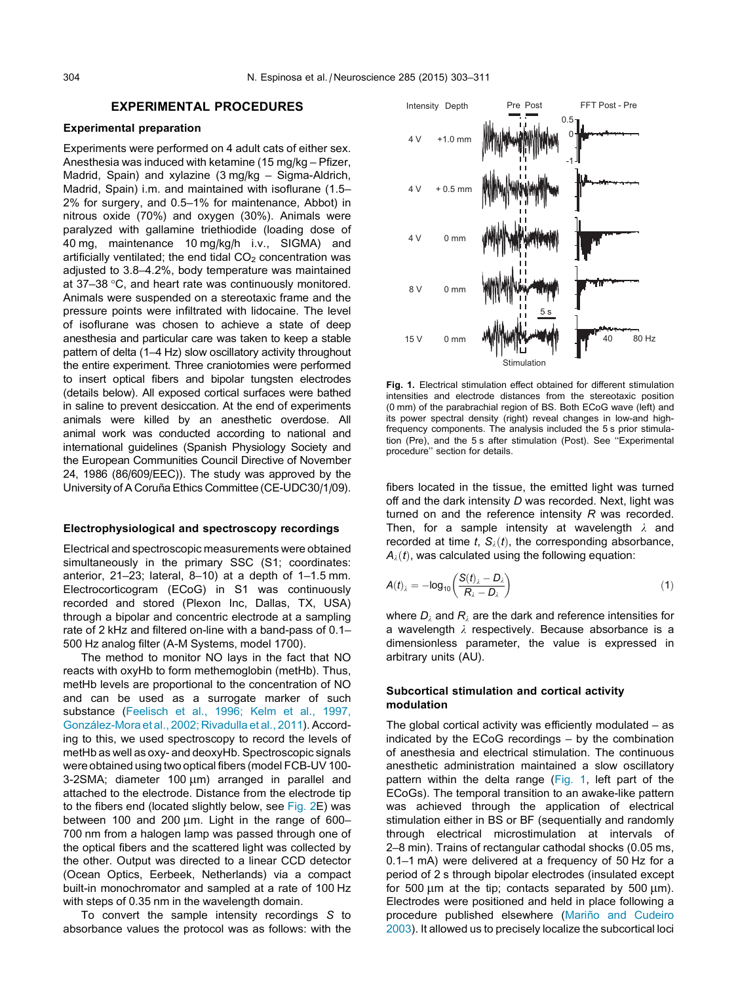# EXPERIMENTAL PROCEDURES

## <span id="page-1-0"></span>Experimental preparation

Experiments were performed on 4 adult cats of either sex. Anesthesia was induced with ketamine (15 mg/kg – Pfizer, Madrid, Spain) and xylazine (3 mg/kg – Sigma-Aldrich, Madrid, Spain) i.m. and maintained with isoflurane (1.5– 2% for surgery, and 0.5–1% for maintenance, Abbot) in nitrous oxide (70%) and oxygen (30%). Animals were paralyzed with gallamine triethiodide (loading dose of 40 mg, maintenance 10 mg/kg/h i.v., SIGMA) and artificially ventilated; the end tidal  $CO<sub>2</sub>$  concentration was adjusted to 3.8–4.2%, body temperature was maintained at  $37-38$  °C, and heart rate was continuously monitored. Animals were suspended on a stereotaxic frame and the pressure points were infiltrated with lidocaine. The level of isoflurane was chosen to achieve a state of deep anesthesia and particular care was taken to keep a stable pattern of delta (1–4 Hz) slow oscillatory activity throughout the entire experiment. Three craniotomies were performed to insert optical fibers and bipolar tungsten electrodes (details below). All exposed cortical surfaces were bathed in saline to prevent desiccation. At the end of experiments animals were killed by an anesthetic overdose. All animal work was conducted according to national and international guidelines (Spanish Physiology Society and the European Communities Council Directive of November 24, 1986 (86/609/EEC)). The study was approved by the University of A Coruña Ethics Committee (CE-UDC30/1/09).

#### Electrophysiological and spectroscopy recordings

Electrical and spectroscopic measurements were obtained simultaneously in the primary SSC (S1; coordinates: anterior, 21–23; lateral, 8–10) at a depth of 1–1.5 mm. Electrocorticogram (ECoG) in S1 was continuously recorded and stored (Plexon Inc, Dallas, TX, USA) through a bipolar and concentric electrode at a sampling rate of 2 kHz and filtered on-line with a band-pass of 0.1– 500 Hz analog filter (A-M Systems, model 1700).

The method to monitor NO lays in the fact that NO reacts with oxyHb to form methemoglobin (metHb). Thus, metHb levels are proportional to the concentration of NO and can be used as a surrogate marker of such substance ([Feelisch et al., 1996; Kelm et al., 1997,](#page-7-0) González-Mora et al., 2002; Rivadulla et al., 2011). According to this, we used spectroscopy to record the levels of metHb as well as oxy- and deoxyHb. Spectroscopic signals were obtained using two optical fibers (model FCB-UV 100- 3-2SMA; diameter  $100 \mu m$ ) arranged in parallel and attached to the electrode. Distance from the electrode tip to the fibers end (located slightly below, see [Fig. 2](#page-2-0)E) was between 100 and 200  $\mu$ m. Light in the range of 600-700 nm from a halogen lamp was passed through one of the optical fibers and the scattered light was collected by the other. Output was directed to a linear CCD detector (Ocean Optics, Eerbeek, Netherlands) via a compact built-in monochromator and sampled at a rate of 100 Hz with steps of 0.35 nm in the wavelength domain.

To convert the sample intensity recordings S to absorbance values the protocol was as follows: with the



Fig. 1. Electrical stimulation effect obtained for different stimulation intensities and electrode distances from the stereotaxic position (0 mm) of the parabrachial region of BS. Both ECoG wave (left) and its power spectral density (right) reveal changes in low-and highfrequency components. The analysis included the 5 s prior stimulation (Pre), and the 5 s after stimulation (Post). See ''Experimental procedure'' section for details.

fibers located in the tissue, the emitted light was turned off and the dark intensity D was recorded. Next, light was turned on and the reference intensity R was recorded. Then, for a sample intensity at wavelength  $\lambda$  and recorded at time t,  $S_{\lambda}(t)$ , the corresponding absorbance,  $A_{\lambda}(t)$ , was calculated using the following equation:

$$
A(t)_{\lambda} = -\log_{10}\left(\frac{S(t)_{\lambda} - D_{\lambda}}{R_{\lambda} - D_{\lambda}}\right)
$$
 (1)

where  $D_i$  and  $R_i$  are the dark and reference intensities for a wavelength  $\lambda$  respectively. Because absorbance is a dimensionless parameter, the value is expressed in arbitrary units (AU).

## Subcortical stimulation and cortical activity modulation

The global cortical activity was efficiently modulated  $-$  as indicated by the ECoG recordings – by the combination of anesthesia and electrical stimulation. The continuous anesthetic administration maintained a slow oscillatory pattern within the delta range (Fig. 1, left part of the ECoGs). The temporal transition to an awake-like pattern was achieved through the application of electrical stimulation either in BS or BF (sequentially and randomly through electrical microstimulation at intervals of 2–8 min). Trains of rectangular cathodal shocks (0.05 ms, 0.1–1 mA) were delivered at a frequency of 50 Hz for a period of 2 s through bipolar electrodes (insulated except for 500  $\mu$ m at the tip; contacts separated by 500  $\mu$ m). Electrodes were positioned and held in place following a procedure published elsewhere (Mariño and Cudeiro [2003](#page-7-0)). It allowed us to precisely localize the subcortical loci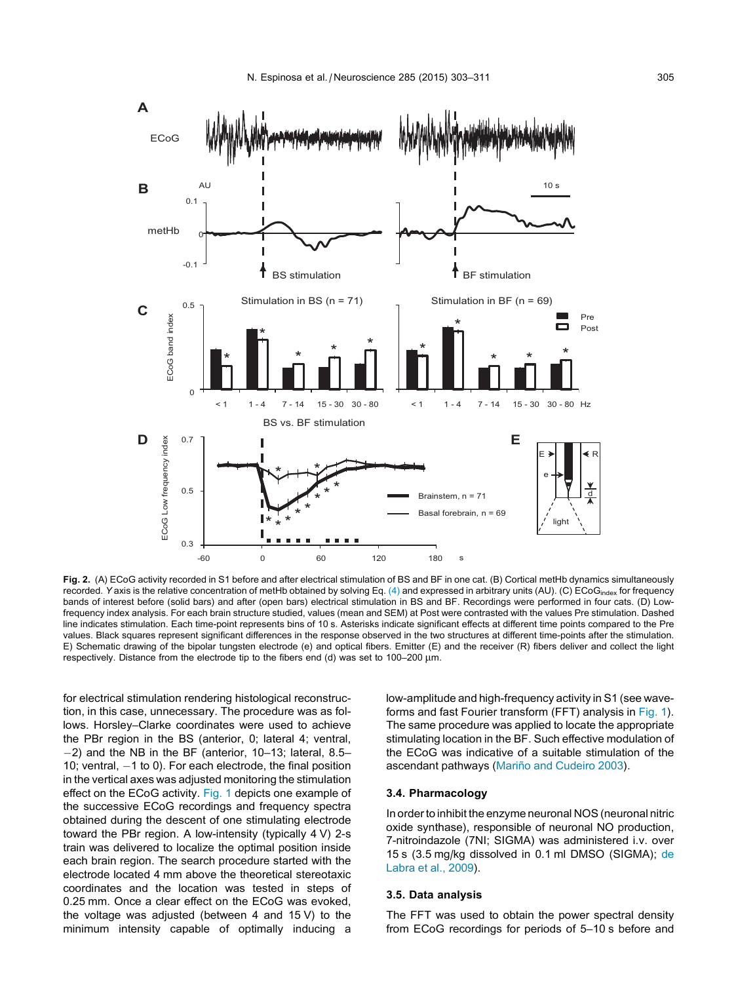<span id="page-2-0"></span>

Fig. 2. (A) ECoG activity recorded in S1 before and after electrical stimulation of BS and BF in one cat. (B) Cortical metHb dynamics simultaneously recorded. Y axis is the relative concentration of metHb obtained by solving Eq. [\(4\)](#page-3-0) and expressed in arbitrary units (AU). (C) ECoG<sub>index</sub> for frequency bands of interest before (solid bars) and after (open bars) electrical stimulation in BS and BF. Recordings were performed in four cats. (D) Lowfrequency index analysis. For each brain structure studied, values (mean and SEM) at Post were contrasted with the values Pre stimulation. Dashed line indicates stimulation. Each time-point represents bins of 10 s. Asterisks indicate significant effects at different time points compared to the Pre values. Black squares represent significant differences in the response observed in the two structures at different time-points after the stimulation. E) Schematic drawing of the bipolar tungsten electrode (e) and optical fibers. Emitter (E) and the receiver (R) fibers deliver and collect the light respectively. Distance from the electrode tip to the fibers end (d) was set to  $100-200 \mu m$ .

for electrical stimulation rendering histological reconstruction, in this case, unnecessary. The procedure was as follows. Horsley–Clarke coordinates were used to achieve the PBr region in the BS (anterior, 0; lateral 4; ventral, -2) and the NB in the BF (anterior, 10–13; lateral, 8.5– 10; ventral,  $-1$  to 0). For each electrode, the final position in the vertical axes was adjusted monitoring the stimulation effect on the ECoG activity. [Fig. 1](#page-1-0) depicts one example of the successive ECoG recordings and frequency spectra obtained during the descent of one stimulating electrode toward the PBr region. A low-intensity (typically 4 V) 2-s train was delivered to localize the optimal position inside each brain region. The search procedure started with the electrode located 4 mm above the theoretical stereotaxic coordinates and the location was tested in steps of 0.25 mm. Once a clear effect on the ECoG was evoked, the voltage was adjusted (between 4 and 15 V) to the minimum intensity capable of optimally inducing a

low-amplitude and high-frequency activity in S1 (see waveforms and fast Fourier transform (FFT) analysis in [Fig. 1\)](#page-1-0). The same procedure was applied to locate the appropriate stimulating location in the BF. Such effective modulation of the ECoG was indicative of a suitable stimulation of the ascendant pathways (Mariño and Cudeiro 2003).

## 3.4. Pharmacology

In order to inhibit the enzyme neuronal NOS (neuronal nitric oxide synthase), responsible of neuronal NO production, 7-nitroindazole (7NI; SIGMA) was administered i.v. over 15 s (3.5 mg/kg dissolved in 0.1 ml DMSO (SIGMA); [de](#page-7-0) [Labra et al., 2009\)](#page-7-0).

## 3.5. Data analysis

The FFT was used to obtain the power spectral density from ECoG recordings for periods of 5–10 s before and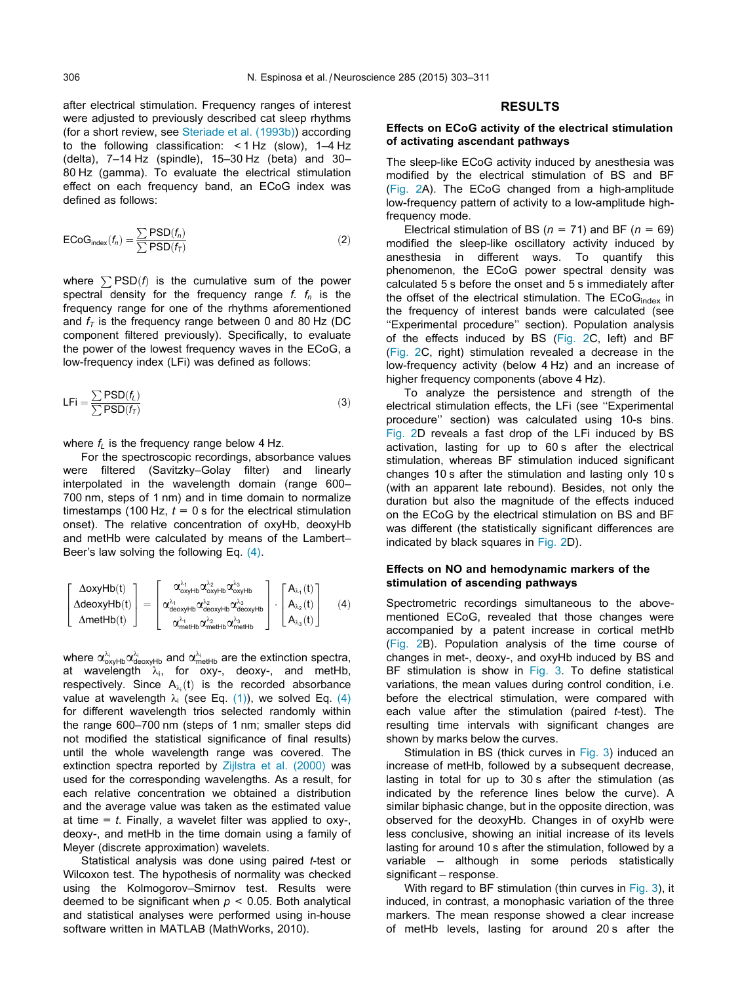<span id="page-3-0"></span>after electrical stimulation. Frequency ranges of interest were adjusted to previously described cat sleep rhythms (for a short review, see [Steriade et al. \(1993b\)](#page-7-0)) according to the following classification: <1 Hz (slow), 1–4 Hz (delta), 7–14 Hz (spindle), 15–30 Hz (beta) and 30– 80 Hz (gamma). To evaluate the electrical stimulation effect on each frequency band, an ECoG index was defined as follows:

$$
ECoGindex(fn) = \frac{\sum PSD(fn)}{\sum PSD(fT)} \tag{2}
$$

where  $\sum$ PSD(f) is the cumulative sum of the power spectral density for the frequency range f.  $f_n$  is the frequency range for one of the rhythms aforementioned and  $f<sub>T</sub>$  is the frequency range between 0 and 80 Hz (DC component filtered previously). Specifically, to evaluate the power of the lowest frequency waves in the ECoG, a low-frequency index (LFi) was defined as follows:

$$
LFi = \frac{\sum PSD(f_L)}{\sum PSD(f_T)}
$$
 (3)

where  $f_L$  is the frequency range below 4 Hz.

For the spectroscopic recordings, absorbance values were filtered (Savitzky–Golay filter) and linearly interpolated in the wavelength domain (range 600– 700 nm, steps of 1 nm) and in time domain to normalize timestamps (100 Hz,  $t = 0$  s for the electrical stimulation onset). The relative concentration of oxyHb, deoxyHb and metHb were calculated by means of the Lambert– Beer's law solving the following Eq. (4).

$$
\left[\begin{matrix}\Delta oxyHb(t)\\ \Delta decayHb(t)\\ \Delta metHb(t)\end{matrix}\right]=\left[\begin{matrix}\alpha_{oxyHb}^{\lambda_1}\alpha_{oxyHb}^{\lambda_2}\alpha_{oxyHb}^{\lambda_3}\\ \alpha_{deoxyHb}^{\lambda_1}\alpha_{deoxyHb}^{\lambda_2}\alpha_{deoxyHb}^{\lambda_3}\end{matrix}\right]\cdot\left[\begin{matrix}A_{\lambda_1}(t)\\ A_{\lambda_2}(t)\\ A_{\lambda_3}(t)\end{matrix}\right] \quad (4)
$$

where  $\alpha^{\scriptscriptstyle \lambda_i}_{\scriptscriptstyle \rm oxyHb} \alpha^{\scriptscriptstyle \lambda_i}_{\scriptscriptstyle \rm decayHb}$  and  $\alpha^{\scriptscriptstyle \lambda_i}_{\scriptscriptstyle \rm metHb}$  are the extinction spectra, at wavelength  $\lambda_i$ , for oxy-, deoxy-, and metHb, respectively. Since  $A_{\lambda_i}(t)$  is the recorded absorbance value at wavelength  $\lambda_i$  (see Eq. [\(1\)](#page-1-0)), we solved Eq. (4) for different wavelength trios selected randomly within the range 600–700 nm (steps of 1 nm; smaller steps did not modified the statistical significance of final results) until the whole wavelength range was covered. The extinction spectra reported by [Zijlstra et al. \(2000\)](#page-8-0) was used for the corresponding wavelengths. As a result, for each relative concentration we obtained a distribution and the average value was taken as the estimated value at time  $=$  t. Finally, a wavelet filter was applied to oxy-, deoxy-, and metHb in the time domain using a family of Meyer (discrete approximation) wavelets.

Statistical analysis was done using paired *t*-test or Wilcoxon test. The hypothesis of normality was checked using the Kolmogorov–Smirnov test. Results were deemed to be significant when  $p < 0.05$ . Both analytical and statistical analyses were performed using in-house software written in MATLAB (MathWorks, 2010).

#### RESULTS

# Effects on ECoG activity of the electrical stimulation of activating ascendant pathways

The sleep-like ECoG activity induced by anesthesia was modified by the electrical stimulation of BS and BF ([Fig. 2A](#page-2-0)). The ECoG changed from a high-amplitude low-frequency pattern of activity to a low-amplitude highfrequency mode.

Electrical stimulation of BS ( $n = 71$ ) and BF ( $n = 69$ ) modified the sleep-like oscillatory activity induced by anesthesia in different ways. To quantify this phenomenon, the ECoG power spectral density was calculated 5 s before the onset and 5 s immediately after the offset of the electrical stimulation. The ECoG<sub>index</sub> in the frequency of interest bands were calculated (see ''Experimental procedure'' section). Population analysis of the effects induced by BS ([Fig. 2C](#page-2-0), left) and BF ([Fig. 2C](#page-2-0), right) stimulation revealed a decrease in the low-frequency activity (below 4 Hz) and an increase of higher frequency components (above 4 Hz).

To analyze the persistence and strength of the electrical stimulation effects, the LFi (see ''Experimental procedure'' section) was calculated using 10-s bins. [Fig. 2D](#page-2-0) reveals a fast drop of the LFi induced by BS activation, lasting for up to 60 s after the electrical stimulation, whereas BF stimulation induced significant changes 10 s after the stimulation and lasting only 10 s (with an apparent late rebound). Besides, not only the duration but also the magnitude of the effects induced on the ECoG by the electrical stimulation on BS and BF was different (the statistically significant differences are indicated by black squares in [Fig. 2D](#page-2-0)).

## Effects on NO and hemodynamic markers of the stimulation of ascending pathways

Spectrometric recordings simultaneous to the abovementioned ECoG, revealed that those changes were accompanied by a patent increase in cortical metHb ([Fig. 2](#page-2-0)B). Population analysis of the time course of changes in met-, deoxy-, and oxyHb induced by BS and BF stimulation is show in [Fig. 3](#page-4-0). To define statistical variations, the mean values during control condition, i.e. before the electrical stimulation, were compared with each value after the stimulation (paired  $t$ -test). The resulting time intervals with significant changes are shown by marks below the curves.

Stimulation in BS (thick curves in [Fig. 3](#page-4-0)) induced an increase of metHb, followed by a subsequent decrease, lasting in total for up to 30 s after the stimulation (as indicated by the reference lines below the curve). A similar biphasic change, but in the opposite direction, was observed for the deoxyHb. Changes in of oxyHb were less conclusive, showing an initial increase of its levels lasting for around 10 s after the stimulation, followed by a variable – although in some periods statistically significant – response.

With regard to BF stimulation (thin curves in [Fig. 3](#page-4-0)), it induced, in contrast, a monophasic variation of the three markers. The mean response showed a clear increase of metHb levels, lasting for around 20 s after the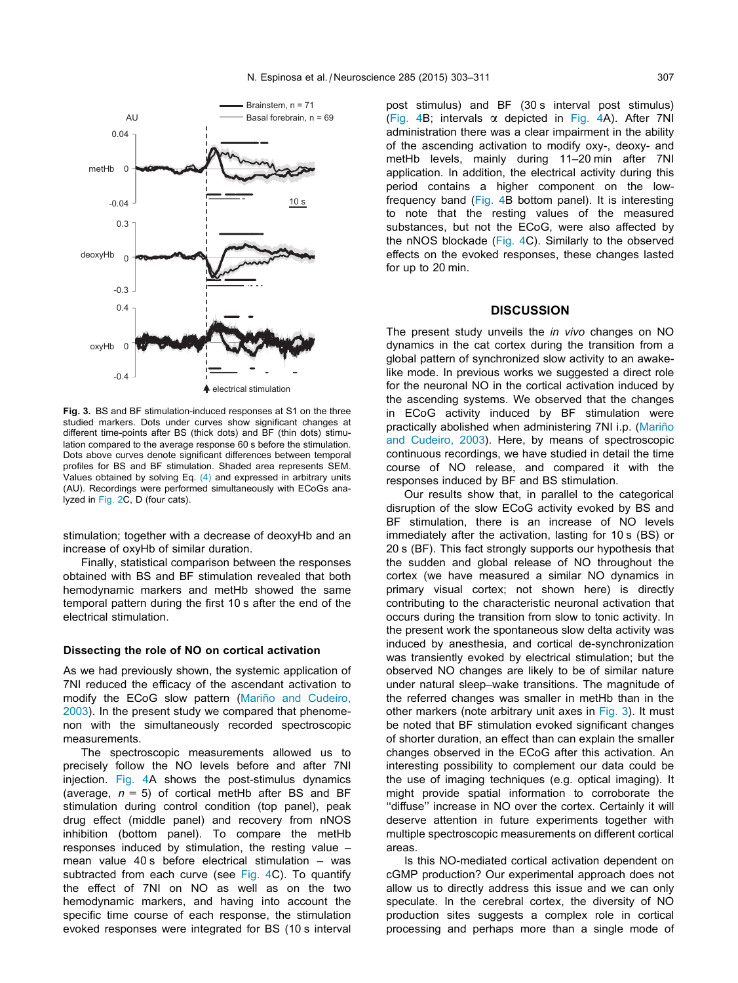<span id="page-4-0"></span>

Fig. 3. BS and BF stimulation-induced responses at S1 on the three studied markers. Dots under curves show significant changes at different time-points after BS (thick dots) and BF (thin dots) stimulation compared to the average response 60 s before the stimulation. Dots above curves denote significant differences between temporal profiles for BS and BF stimulation. Shaded area represents SEM. Values obtained by solving Eq. [\(4\)](#page-3-0) and expressed in arbitrary units (AU). Recordings were performed simultaneously with ECoGs analyzed in [Fig. 2](#page-2-0)C, D (four cats).

stimulation; together with a decrease of deoxyHb and an increase of oxyHb of similar duration.

Finally, statistical comparison between the responses obtained with BS and BF stimulation revealed that both hemodynamic markers and metHb showed the same temporal pattern during the first 10 s after the end of the electrical stimulation.

#### Dissecting the role of NO on cortical activation

As we had previously shown, the systemic application of 7NI reduced the efficacy of the ascendant activation to modify the ECoG slow pattern (Mariño and Cudeiro, [2003](#page-7-0)). In the present study we compared that phenomenon with the simultaneously recorded spectroscopic measurements.

The spectroscopic measurements allowed us to precisely follow the NO levels before and after 7NI injection. [Fig. 4](#page-5-0)A shows the post-stimulus dynamics (average,  $n = 5$ ) of cortical metHb after BS and BF stimulation during control condition (top panel), peak drug effect (middle panel) and recovery from nNOS inhibition (bottom panel). To compare the metHb responses induced by stimulation, the resting value – mean value 40 s before electrical stimulation – was subtracted from each curve (see [Fig. 4](#page-5-0)C). To quantify the effect of 7NI on NO as well as on the two hemodynamic markers, and having into account the specific time course of each response, the stimulation evoked responses were integrated for BS (10 s interval post stimulus) and BF (30 s interval post stimulus) ([Fig. 4](#page-5-0)B; intervals  $\alpha$  depicted in Fig. 4A). After 7NI administration there was a clear impairment in the ability of the ascending activation to modify oxy-, deoxy- and metHb levels, mainly during 11–20 min after 7NI application. In addition, the electrical activity during this period contains a higher component on the lowfrequency band [\(Fig. 4B](#page-5-0) bottom panel). It is interesting to note that the resting values of the measured substances, but not the ECoG, were also affected by the nNOS blockade [\(Fig. 4](#page-5-0)C). Similarly to the observed effects on the evoked responses, these changes lasted for up to 20 min.

### **DISCUSSION**

The present study unveils the *in vivo* changes on NO dynamics in the cat cortex during the transition from a global pattern of synchronized slow activity to an awakelike mode. In previous works we suggested a direct role for the neuronal NO in the cortical activation induced by the ascending systems. We observed that the changes in ECoG activity induced by BF stimulation were practically abolished when administering 7NI i.p. (Mariño [and Cudeiro, 2003](#page-7-0)). Here, by means of spectroscopic continuous recordings, we have studied in detail the time course of NO release, and compared it with the responses induced by BF and BS stimulation.

Our results show that, in parallel to the categorical disruption of the slow ECoG activity evoked by BS and BF stimulation, there is an increase of NO levels immediately after the activation, lasting for 10 s (BS) or 20 s (BF). This fact strongly supports our hypothesis that the sudden and global release of NO throughout the cortex (we have measured a similar NO dynamics in primary visual cortex; not shown here) is directly contributing to the characteristic neuronal activation that occurs during the transition from slow to tonic activity. In the present work the spontaneous slow delta activity was induced by anesthesia, and cortical de-synchronization was transiently evoked by electrical stimulation; but the observed NO changes are likely to be of similar nature under natural sleep–wake transitions. The magnitude of the referred changes was smaller in metHb than in the other markers (note arbitrary unit axes in Fig. 3). It must be noted that BF stimulation evoked significant changes of shorter duration, an effect than can explain the smaller changes observed in the ECoG after this activation. An interesting possibility to complement our data could be the use of imaging techniques (e.g. optical imaging). It might provide spatial information to corroborate the ''diffuse'' increase in NO over the cortex. Certainly it will deserve attention in future experiments together with multiple spectroscopic measurements on different cortical areas.

Is this NO-mediated cortical activation dependent on cGMP production? Our experimental approach does not allow us to directly address this issue and we can only speculate. In the cerebral cortex, the diversity of NO production sites suggests a complex role in cortical processing and perhaps more than a single mode of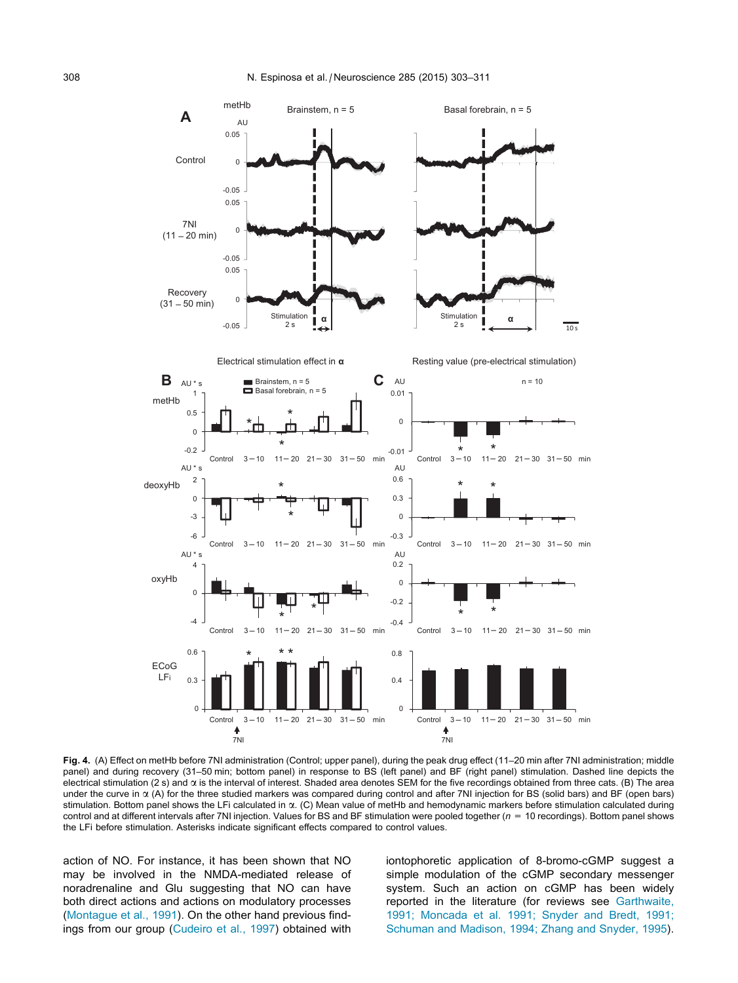<span id="page-5-0"></span>

Fig. 4. (A) Effect on metHb before 7NI administration (Control; upper panel), during the peak drug effect (11–20 min after 7NI administration; middle panel) and during recovery (31–50 min; bottom panel) in response to BS (left panel) and BF (right panel) stimulation. Dashed line depicts the electrical stimulation (2 s) and  $\alpha$  is the interval of interest. Shaded area denotes SEM for the five recordings obtained from three cats. (B) The area under the curve in  $\alpha$  (A) for the three studied markers was compared during control and after 7NI injection for BS (solid bars) and BF (open bars) stimulation. Bottom panel shows the LFi calculated in  $\alpha$ . (C) Mean value of metHb and hemodynamic markers before stimulation calculated during control and at different intervals after 7NI injection. Values for BS and BF stimulation were pooled together  $(n = 10$  recordings). Bottom panel shows the LFi before stimulation. Asterisks indicate significant effects compared to control values.

action of NO. For instance, it has been shown that NO may be involved in the NMDA-mediated release of noradrenaline and Glu suggesting that NO can have both direct actions and actions on modulatory processes [\(Montague et al., 1991](#page-7-0)). On the other hand previous findings from our group ([Cudeiro et al., 1997](#page-7-0)) obtained with iontophoretic application of 8-bromo-cGMP suggest a simple modulation of the cGMP secondary messenger system. Such an action on cGMP has been widely reported in the literature (for reviews see [Garthwaite,](#page-7-0) [1991; Moncada et al. 1991; Snyder and Bredt, 1991;](#page-7-0) [Schuman and Madison, 1994; Zhang and Snyder, 1995\)](#page-7-0).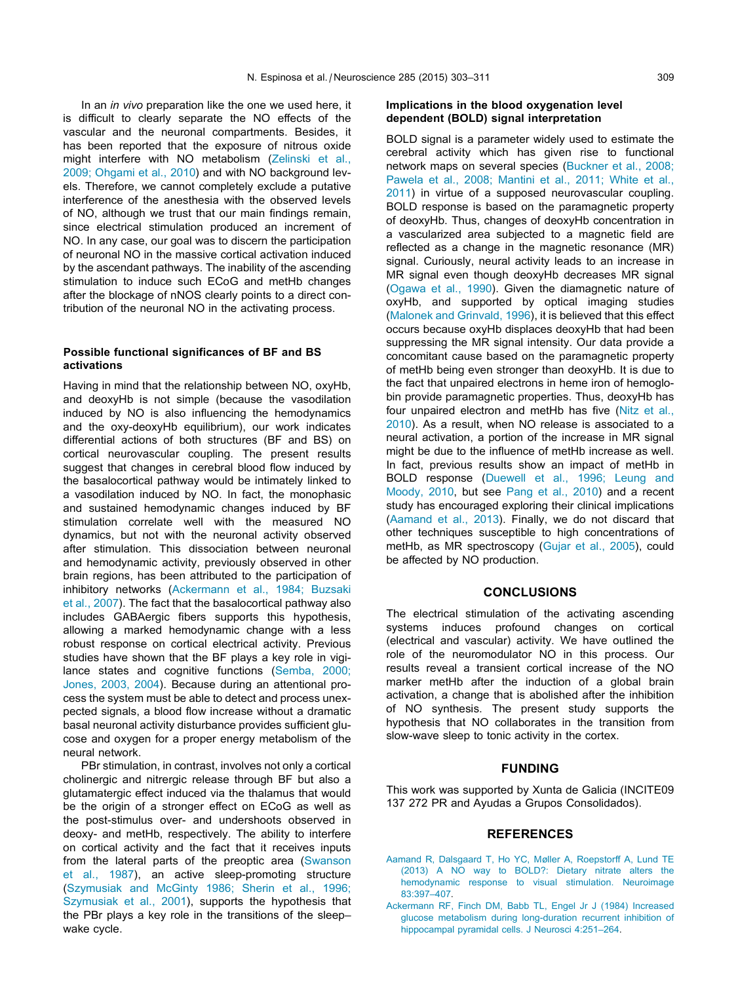In an *in vivo* preparation like the one we used here, it is difficult to clearly separate the NO effects of the vascular and the neuronal compartments. Besides, it has been reported that the exposure of nitrous oxide might interfere with NO metabolism ([Zelinski et al.,](#page-8-0) [2009; Ohgami et al., 2010\)](#page-8-0) and with NO background levels. Therefore, we cannot completely exclude a putative interference of the anesthesia with the observed levels of NO, although we trust that our main findings remain, since electrical stimulation produced an increment of NO. In any case, our goal was to discern the participation of neuronal NO in the massive cortical activation induced by the ascendant pathways. The inability of the ascending stimulation to induce such ECoG and metHb changes after the blockage of nNOS clearly points to a direct contribution of the neuronal NO in the activating process.

## Possible functional significances of BF and BS activations

Having in mind that the relationship between NO, oxyHb, and deoxyHb is not simple (because the vasodilation induced by NO is also influencing the hemodynamics and the oxy-deoxyHb equilibrium), our work indicates differential actions of both structures (BF and BS) on cortical neurovascular coupling. The present results suggest that changes in cerebral blood flow induced by the basalocortical pathway would be intimately linked to a vasodilation induced by NO. In fact, the monophasic and sustained hemodynamic changes induced by BF stimulation correlate well with the measured NO dynamics, but not with the neuronal activity observed after stimulation. This dissociation between neuronal and hemodynamic activity, previously observed in other brain regions, has been attributed to the participation of inhibitory networks (Ackermann et al., 1984; Buzsaki et al., 2007). The fact that the basalocortical pathway also includes GABAergic fibers supports this hypothesis, allowing a marked hemodynamic change with a less robust response on cortical electrical activity. Previous studies have shown that the BF plays a key role in vigilance states and cognitive functions [\(Semba, 2000;](#page-7-0) [Jones, 2003, 2004\)](#page-7-0). Because during an attentional process the system must be able to detect and process unexpected signals, a blood flow increase without a dramatic basal neuronal activity disturbance provides sufficient glucose and oxygen for a proper energy metabolism of the neural network.

PBr stimulation, in contrast, involves not only a cortical cholinergic and nitrergic release through BF but also a glutamatergic effect induced via the thalamus that would be the origin of a stronger effect on ECoG as well as the post-stimulus over- and undershoots observed in deoxy- and metHb, respectively. The ability to interfere on cortical activity and the fact that it receives inputs from the lateral parts of the preoptic area ([Swanson](#page-7-0) [et al., 1987](#page-7-0)), an active sleep-promoting structure [\(Szymusiak and McGinty 1986; Sherin et al., 1996;](#page-7-0) [Szymusiak et al., 2001\)](#page-7-0), supports the hypothesis that the PBr plays a key role in the transitions of the sleep– wake cycle.

# Implications in the blood oxygenation level dependent (BOLD) signal interpretation

BOLD signal is a parameter widely used to estimate the cerebral activity which has given rise to functional network maps on several species [\(Buckner et al., 2008;](#page-7-0) [Pawela et al., 2008; Mantini et al., 2011; White et al.,](#page-7-0) [2011](#page-7-0)) in virtue of a supposed neurovascular coupling. BOLD response is based on the paramagnetic property of deoxyHb. Thus, changes of deoxyHb concentration in a vascularized area subjected to a magnetic field are reflected as a change in the magnetic resonance (MR) signal. Curiously, neural activity leads to an increase in MR signal even though deoxyHb decreases MR signal ([Ogawa et al., 1990](#page-7-0)). Given the diamagnetic nature of oxyHb, and supported by optical imaging studies ([Malonek and Grinvald, 1996](#page-7-0)), it is believed that this effect occurs because oxyHb displaces deoxyHb that had been suppressing the MR signal intensity. Our data provide a concomitant cause based on the paramagnetic property of metHb being even stronger than deoxyHb. It is due to the fact that unpaired electrons in heme iron of hemoglobin provide paramagnetic properties. Thus, deoxyHb has four unpaired electron and metHb has five ([Nitz et al.,](#page-7-0) [2010](#page-7-0)). As a result, when NO release is associated to a neural activation, a portion of the increase in MR signal might be due to the influence of metHb increase as well. In fact, previous results show an impact of metHb in BOLD response [\(Duewell et al., 1996; Leung and](#page-7-0) [Moody, 2010](#page-7-0), but see [Pang et al., 2010\)](#page-7-0) and a recent study has encouraged exploring their clinical implications (Aamand et al., 2013). Finally, we do not discard that other techniques susceptible to high concentrations of metHb, as MR spectroscopy [\(Gujar et al., 2005\)](#page-7-0), could be affected by NO production.

# **CONCLUSIONS**

The electrical stimulation of the activating ascending systems induces profound changes on cortical (electrical and vascular) activity. We have outlined the role of the neuromodulator NO in this process. Our results reveal a transient cortical increase of the NO marker metHb after the induction of a global brain activation, a change that is abolished after the inhibition of NO synthesis. The present study supports the hypothesis that NO collaborates in the transition from slow-wave sleep to tonic activity in the cortex.

## FUNDING

This work was supported by Xunta de Galicia (INCITE09 137 272 PR and Ayudas a Grupos Consolidados).

#### REFERENCES

- [Aamand R, Dalsgaard T, Ho YC, Møller A, Roepstorff A, Lund TE](http://refhub.elsevier.com/S0306-4522(14)00994-4/h0005) [\(2013\) A NO way to BOLD?: Dietary nitrate alters the](http://refhub.elsevier.com/S0306-4522(14)00994-4/h0005) [hemodynamic response to visual stimulation. Neuroimage](http://refhub.elsevier.com/S0306-4522(14)00994-4/h0005) [83:397–407](http://refhub.elsevier.com/S0306-4522(14)00994-4/h0005).
- [Ackermann RF, Finch DM, Babb TL, Engel Jr J \(1984\) Increased](http://refhub.elsevier.com/S0306-4522(14)00994-4/h0010) [glucose metabolism during long-duration recurrent inhibition of](http://refhub.elsevier.com/S0306-4522(14)00994-4/h0010) [hippocampal pyramidal cells. J Neurosci 4:251–264.](http://refhub.elsevier.com/S0306-4522(14)00994-4/h0010)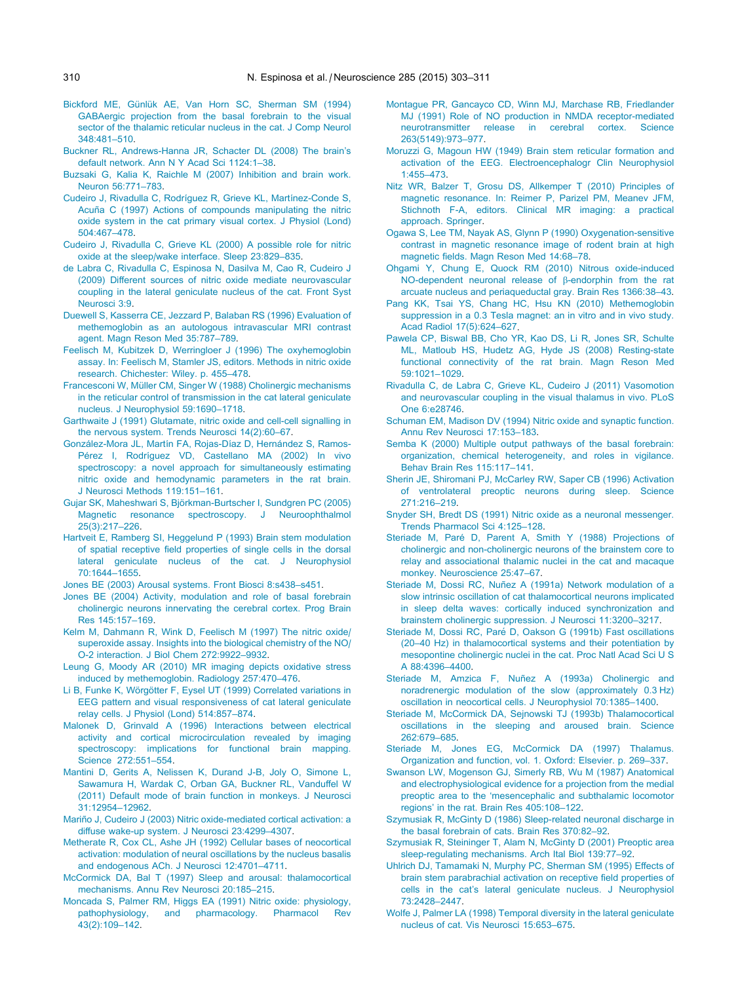- <span id="page-7-0"></span>Bickford ME, Günlük AE, Van Horn SC, Sherman SM (1994) [GABAergic projection from the basal forebrain to the visual](http://refhub.elsevier.com/S0306-4522(14)00994-4/h0015) [sector of the thalamic reticular nucleus in the cat. J Comp Neurol](http://refhub.elsevier.com/S0306-4522(14)00994-4/h0015) [348:481–510](http://refhub.elsevier.com/S0306-4522(14)00994-4/h0015).
- [Buckner RL, Andrews-Hanna JR, Schacter DL \(2008\) The brain's](http://refhub.elsevier.com/S0306-4522(14)00994-4/h0020) [default network. Ann N Y Acad Sci 1124:1–38.](http://refhub.elsevier.com/S0306-4522(14)00994-4/h0020)
- [Buzsaki G, Kalia K, Raichle M \(2007\) Inhibition and brain work.](http://refhub.elsevier.com/S0306-4522(14)00994-4/h0025) [Neuron 56:771–783.](http://refhub.elsevier.com/S0306-4522(14)00994-4/h0025)
- Cudeiro J, Rivadulla C, Rodríguez R, Grieve KL, Martínez-Conde S, Acuña C (1997) Actions of compounds manipulating the nitric [oxide system in the cat primary visual cortex. J Physiol \(Lond\)](http://refhub.elsevier.com/S0306-4522(14)00994-4/h0030) [504:467–478](http://refhub.elsevier.com/S0306-4522(14)00994-4/h0030).
- [Cudeiro J, Rivadulla C, Grieve KL \(2000\) A possible role for nitric](http://refhub.elsevier.com/S0306-4522(14)00994-4/h0035) [oxide at the sleep/wake interface. Sleep 23:829–835.](http://refhub.elsevier.com/S0306-4522(14)00994-4/h0035)
- [de Labra C, Rivadulla C, Espinosa N, Dasilva M, Cao R, Cudeiro J](http://refhub.elsevier.com/S0306-4522(14)00994-4/h0040) [\(2009\) Different sources of nitric oxide mediate neurovascular](http://refhub.elsevier.com/S0306-4522(14)00994-4/h0040) [coupling in the lateral geniculate nucleus of the cat. Front Syst](http://refhub.elsevier.com/S0306-4522(14)00994-4/h0040) [Neurosci 3:9](http://refhub.elsevier.com/S0306-4522(14)00994-4/h0040).
- [Duewell S, Kasserra CE, Jezzard P, Balaban RS \(1996\) Evaluation of](http://refhub.elsevier.com/S0306-4522(14)00994-4/h0045) [methemoglobin as an autologous intravascular MRI contrast](http://refhub.elsevier.com/S0306-4522(14)00994-4/h0045) [agent. Magn Reson Med 35:787–789](http://refhub.elsevier.com/S0306-4522(14)00994-4/h0045).
- [Feelisch M, Kubitzek D, Werringloer J \(1996\) The oxyhemoglobin](http://refhub.elsevier.com/S0306-4522(14)00994-4/h0050) [assay. In: Feelisch M, Stamler JS, editors. Methods in nitric oxide](http://refhub.elsevier.com/S0306-4522(14)00994-4/h0050) [research. Chichester: Wiley. p. 455–478](http://refhub.elsevier.com/S0306-4522(14)00994-4/h0050).
- Francesconi W, Müller CM, Singer W (1988) Cholinergic mechanisms [in the reticular control of transmission in the cat lateral geniculate](http://refhub.elsevier.com/S0306-4522(14)00994-4/h0055) [nucleus. J Neurophysiol 59:1690–1718.](http://refhub.elsevier.com/S0306-4522(14)00994-4/h0055)
- [Garthwaite J \(1991\) Glutamate, nitric oxide and cell-cell signalling in](http://refhub.elsevier.com/S0306-4522(14)00994-4/h0060) [the nervous system. Trends Neurosci 14\(2\):60–67.](http://refhub.elsevier.com/S0306-4522(14)00994-4/h0060)
- González-Mora JL, Martín FA, Rojas-Díaz D, Hernández S, Ramos-Pérez I, Rodríguez VD, Castellano MA (2002) In vivo [spectroscopy: a novel approach for simultaneously estimating](http://refhub.elsevier.com/S0306-4522(14)00994-4/h0065) [nitric oxide and hemodynamic parameters in the rat brain.](http://refhub.elsevier.com/S0306-4522(14)00994-4/h0065) [J Neurosci Methods 119:151–161](http://refhub.elsevier.com/S0306-4522(14)00994-4/h0065).
- Gujar SK, Maheshwari S, Björkman-Burtscher I, Sundgren PC (2005) [Magnetic resonance spectroscopy. J Neuroophthalmol](http://refhub.elsevier.com/S0306-4522(14)00994-4/h0070) [25\(3\):217–226.](http://refhub.elsevier.com/S0306-4522(14)00994-4/h0070)
- [Hartveit E, Ramberg SI, Heggelund P \(1993\) Brain stem modulation](http://refhub.elsevier.com/S0306-4522(14)00994-4/h0075) [of spatial receptive field properties of single cells in the dorsal](http://refhub.elsevier.com/S0306-4522(14)00994-4/h0075) [lateral geniculate nucleus of the cat. J Neurophysiol](http://refhub.elsevier.com/S0306-4522(14)00994-4/h0075) [70:1644–1655.](http://refhub.elsevier.com/S0306-4522(14)00994-4/h0075)

[Jones BE \(2003\) Arousal systems. Front Biosci 8:s438–s451](http://refhub.elsevier.com/S0306-4522(14)00994-4/h0080).

- [Jones BE \(2004\) Activity, modulation and role of basal forebrain](http://refhub.elsevier.com/S0306-4522(14)00994-4/h0085) [cholinergic neurons innervating the cerebral cortex. Prog Brain](http://refhub.elsevier.com/S0306-4522(14)00994-4/h0085) [Res 145:157–169.](http://refhub.elsevier.com/S0306-4522(14)00994-4/h0085)
- [Kelm M, Dahmann R, Wink D, Feelisch M \(1997\) The nitric oxide/](http://refhub.elsevier.com/S0306-4522(14)00994-4/h0090) [superoxide assay. Insights into the biological chemistry of the NO/](http://refhub.elsevier.com/S0306-4522(14)00994-4/h0090) [O-2 interaction. J Biol Chem 272:9922–9932.](http://refhub.elsevier.com/S0306-4522(14)00994-4/h0090)
- [Leung G, Moody AR \(2010\) MR imaging depicts oxidative stress](http://refhub.elsevier.com/S0306-4522(14)00994-4/h0095) [induced by methemoglobin. Radiology 257:470–476](http://refhub.elsevier.com/S0306-4522(14)00994-4/h0095).
- Li B, Funke K, Wörgötter F, Eysel UT (1999) Correlated variations in [EEG pattern and visual responsiveness of cat lateral geniculate](http://refhub.elsevier.com/S0306-4522(14)00994-4/h0100) [relay cells. J Physiol \(Lond\) 514:857–874](http://refhub.elsevier.com/S0306-4522(14)00994-4/h0100).
- [Malonek D, Grinvald A \(1996\) Interactions between electrical](http://refhub.elsevier.com/S0306-4522(14)00994-4/h0105) [activity and cortical microcirculation revealed by imaging](http://refhub.elsevier.com/S0306-4522(14)00994-4/h0105) [spectroscopy: implications for functional brain mapping.](http://refhub.elsevier.com/S0306-4522(14)00994-4/h0105) [Science 272:551–554](http://refhub.elsevier.com/S0306-4522(14)00994-4/h0105).
- [Mantini D, Gerits A, Nelissen K, Durand J-B, Joly O, Simone L,](http://refhub.elsevier.com/S0306-4522(14)00994-4/h0110) [Sawamura H, Wardak C, Orban GA, Buckner RL, Vanduffel W](http://refhub.elsevier.com/S0306-4522(14)00994-4/h0110) [\(2011\) Default mode of brain function in monkeys. J Neurosci](http://refhub.elsevier.com/S0306-4522(14)00994-4/h0110) [31:12954–12962](http://refhub.elsevier.com/S0306-4522(14)00994-4/h0110).
- Mariño J, Cudeiro J (2003) Nitric oxide-mediated cortical activation: a [diffuse wake-up system. J Neurosci 23:4299–4307.](http://refhub.elsevier.com/S0306-4522(14)00994-4/h0115)
- [Metherate R, Cox CL, Ashe JH \(1992\) Cellular bases of neocortical](http://refhub.elsevier.com/S0306-4522(14)00994-4/h0120) [activation: modulation of neural oscillations by the nucleus basalis](http://refhub.elsevier.com/S0306-4522(14)00994-4/h0120) [and endogenous ACh. J Neurosci 12:4701–4711.](http://refhub.elsevier.com/S0306-4522(14)00994-4/h0120)
- [McCormick DA, Bal T \(1997\) Sleep and arousal: thalamocortical](http://refhub.elsevier.com/S0306-4522(14)00994-4/h0125) [mechanisms. Annu Rev Neurosci 20:185–215.](http://refhub.elsevier.com/S0306-4522(14)00994-4/h0125)
- [Moncada S, Palmer RM, Higgs EA \(1991\) Nitric oxide: physiology,](http://refhub.elsevier.com/S0306-4522(14)00994-4/h0130) [pathophysiology, and pharmacology. Pharmacol Rev](http://refhub.elsevier.com/S0306-4522(14)00994-4/h0130) [43\(2\):109–142.](http://refhub.elsevier.com/S0306-4522(14)00994-4/h0130)
- [Montague PR, Gancayco CD, Winn MJ, Marchase RB, Friedlander](http://refhub.elsevier.com/S0306-4522(14)00994-4/h0135) [MJ \(1991\) Role of NO production in NMDA receptor-mediated](http://refhub.elsevier.com/S0306-4522(14)00994-4/h0135) [neurotransmitter release in cerebral cortex. Science](http://refhub.elsevier.com/S0306-4522(14)00994-4/h0135) [263\(5149\):973–977](http://refhub.elsevier.com/S0306-4522(14)00994-4/h0135).
- [Moruzzi G, Magoun HW \(1949\) Brain stem reticular formation and](http://refhub.elsevier.com/S0306-4522(14)00994-4/h0140) [activation of the EEG. Electroencephalogr Clin Neurophysiol](http://refhub.elsevier.com/S0306-4522(14)00994-4/h0140) [1:455–473.](http://refhub.elsevier.com/S0306-4522(14)00994-4/h0140)
- [Nitz WR, Balzer T, Grosu DS, Allkemper T \(2010\) Principles of](http://refhub.elsevier.com/S0306-4522(14)00994-4/h0145) [magnetic resonance. In: Reimer P, Parizel PM, Meanev JFM,](http://refhub.elsevier.com/S0306-4522(14)00994-4/h0145) [Stichnoth F-A, editors. Clinical MR imaging: a practical](http://refhub.elsevier.com/S0306-4522(14)00994-4/h0145) [approach. Springer](http://refhub.elsevier.com/S0306-4522(14)00994-4/h0145).
- [Ogawa S, Lee TM, Nayak AS, Glynn P \(1990\) Oxygenation-sensitive](http://refhub.elsevier.com/S0306-4522(14)00994-4/h0150) [contrast in magnetic resonance image of rodent brain at high](http://refhub.elsevier.com/S0306-4522(14)00994-4/h0150) [magnetic fields. Magn Reson Med 14:68–78](http://refhub.elsevier.com/S0306-4522(14)00994-4/h0150).
- [Ohgami Y, Chung E, Quock RM \(2010\) Nitrous oxide-induced](http://refhub.elsevier.com/S0306-4522(14)00994-4/h0155) [NO-dependent neuronal release of](http://refhub.elsevier.com/S0306-4522(14)00994-4/h0155)  $\beta$ -endorphin from the rat [arcuate nucleus and periaqueductal gray. Brain Res 1366:38–43](http://refhub.elsevier.com/S0306-4522(14)00994-4/h0155).
- [Pang KK, Tsai YS, Chang HC, Hsu KN \(2010\) Methemoglobin](http://refhub.elsevier.com/S0306-4522(14)00994-4/h0160) [suppression in a 0.3 Tesla magnet: an in vitro and in vivo study.](http://refhub.elsevier.com/S0306-4522(14)00994-4/h0160) [Acad Radiol 17\(5\):624–627](http://refhub.elsevier.com/S0306-4522(14)00994-4/h0160).
- [Pawela CP, Biswal BB, Cho YR, Kao DS, Li R, Jones SR, Schulte](http://refhub.elsevier.com/S0306-4522(14)00994-4/h0165) [ML, Matloub HS, Hudetz AG, Hyde JS \(2008\) Resting-state](http://refhub.elsevier.com/S0306-4522(14)00994-4/h0165) [functional connectivity of the rat brain. Magn Reson Med](http://refhub.elsevier.com/S0306-4522(14)00994-4/h0165) [59:1021–1029.](http://refhub.elsevier.com/S0306-4522(14)00994-4/h0165)
- [Rivadulla C, de Labra C, Grieve KL, Cudeiro J \(2011\) Vasomotion](http://refhub.elsevier.com/S0306-4522(14)00994-4/h0170) [and neurovascular coupling in the visual thalamus in vivo. PLoS](http://refhub.elsevier.com/S0306-4522(14)00994-4/h0170) [One 6:e28746.](http://refhub.elsevier.com/S0306-4522(14)00994-4/h0170)
- [Schuman EM, Madison DV \(1994\) Nitric oxide and synaptic function.](http://refhub.elsevier.com/S0306-4522(14)00994-4/h0175) [Annu Rev Neurosci 17:153–183](http://refhub.elsevier.com/S0306-4522(14)00994-4/h0175).
- [Semba K \(2000\) Multiple output pathways of the basal forebrain:](http://refhub.elsevier.com/S0306-4522(14)00994-4/h0180) [organization, chemical heterogeneity, and roles in vigilance.](http://refhub.elsevier.com/S0306-4522(14)00994-4/h0180) [Behav Brain Res 115:117–141.](http://refhub.elsevier.com/S0306-4522(14)00994-4/h0180)
- [Sherin JE, Shiromani PJ, McCarley RW, Saper CB \(1996\) Activation](http://refhub.elsevier.com/S0306-4522(14)00994-4/h0185) [of ventrolateral preoptic neurons during sleep. Science](http://refhub.elsevier.com/S0306-4522(14)00994-4/h0185) [271:216–219](http://refhub.elsevier.com/S0306-4522(14)00994-4/h0185).
- [Snyder SH, Bredt DS \(1991\) Nitric oxide as a neuronal messenger.](http://refhub.elsevier.com/S0306-4522(14)00994-4/h0190) [Trends Pharmacol Sci 4:125–128](http://refhub.elsevier.com/S0306-4522(14)00994-4/h0190).
- Steriade M, Paré [D, Parent A, Smith Y \(1988\) Projections of](http://refhub.elsevier.com/S0306-4522(14)00994-4/h0195) [cholinergic and non-cholinergic neurons of the brainstem core to](http://refhub.elsevier.com/S0306-4522(14)00994-4/h0195) [relay and associational thalamic nuclei in the cat and macaque](http://refhub.elsevier.com/S0306-4522(14)00994-4/h0195) [monkey. Neuroscience 25:47–67](http://refhub.elsevier.com/S0306-4522(14)00994-4/h0195).
- Steriade M, Dossi RC, Nuñez A (1991a) Network modulation of a [slow intrinsic oscillation of cat thalamocortical neurons implicated](http://refhub.elsevier.com/S0306-4522(14)00994-4/h0200) [in sleep delta waves: cortically induced synchronization and](http://refhub.elsevier.com/S0306-4522(14)00994-4/h0200) [brainstem cholinergic suppression. J Neurosci 11:3200–3217](http://refhub.elsevier.com/S0306-4522(14)00994-4/h0200).
- Steriade M, Dossi RC, Paré [D, Oakson G \(1991b\) Fast oscillations](http://refhub.elsevier.com/S0306-4522(14)00994-4/h0205) [\(20–40 Hz\) in thalamocortical systems and their potentiation by](http://refhub.elsevier.com/S0306-4522(14)00994-4/h0205) [mesopontine cholinergic nuclei in the cat. Proc Natl Acad Sci U S](http://refhub.elsevier.com/S0306-4522(14)00994-4/h0205) [A 88:4396–4400](http://refhub.elsevier.com/S0306-4522(14)00994-4/h0205).
- Steriade M, Amzica F, Nuñez A (1993a) Cholinergic and [noradrenergic modulation of the slow \(approximately 0.3 Hz\)](http://refhub.elsevier.com/S0306-4522(14)00994-4/h0210) [oscillation in neocortical cells. J Neurophysiol 70:1385–1400.](http://refhub.elsevier.com/S0306-4522(14)00994-4/h0210)
- [Steriade M, McCormick DA, Sejnowski TJ \(1993b\) Thalamocortical](http://refhub.elsevier.com/S0306-4522(14)00994-4/h0215) [oscillations in the sleeping and aroused brain. Science](http://refhub.elsevier.com/S0306-4522(14)00994-4/h0215) [262:679–685](http://refhub.elsevier.com/S0306-4522(14)00994-4/h0215).
- [Steriade M, Jones EG, McCormick DA \(1997\) Thalamus.](http://refhub.elsevier.com/S0306-4522(14)00994-4/h0220) [Organization and function, vol. 1. Oxford: Elsevier. p. 269–337.](http://refhub.elsevier.com/S0306-4522(14)00994-4/h0220)
- [Swanson LW, Mogenson GJ, Simerly RB, Wu M \(1987\) Anatomical](http://refhub.elsevier.com/S0306-4522(14)00994-4/h0225) [and electrophysiological evidence for a projection from the medial](http://refhub.elsevier.com/S0306-4522(14)00994-4/h0225) [preoptic area to the 'mesencephalic and subthalamic locomotor](http://refhub.elsevier.com/S0306-4522(14)00994-4/h0225) [regions' in the rat. Brain Res 405:108–122.](http://refhub.elsevier.com/S0306-4522(14)00994-4/h0225)
- [Szymusiak R, McGinty D \(1986\) Sleep-related neuronal discharge in](http://refhub.elsevier.com/S0306-4522(14)00994-4/h0230) [the basal forebrain of cats. Brain Res 370:82–92](http://refhub.elsevier.com/S0306-4522(14)00994-4/h0230).
- [Szymusiak R, Steininger T, Alam N, McGinty D \(2001\) Preoptic area](http://refhub.elsevier.com/S0306-4522(14)00994-4/h0235) [sleep-regulating mechanisms. Arch Ital Biol 139:77–92](http://refhub.elsevier.com/S0306-4522(14)00994-4/h0235).
- [Uhlrich DJ, Tamamaki N, Murphy PC, Sherman SM \(1995\) Effects of](http://refhub.elsevier.com/S0306-4522(14)00994-4/h0240) [brain stem parabrachial activation on receptive field properties of](http://refhub.elsevier.com/S0306-4522(14)00994-4/h0240) [cells in the cat's lateral geniculate nucleus. J Neurophysiol](http://refhub.elsevier.com/S0306-4522(14)00994-4/h0240) [73:2428–2447.](http://refhub.elsevier.com/S0306-4522(14)00994-4/h0240)
- [Wolfe J, Palmer LA \(1998\) Temporal diversity in the lateral geniculate](http://refhub.elsevier.com/S0306-4522(14)00994-4/h0245) [nucleus of cat. Vis Neurosci 15:653–675](http://refhub.elsevier.com/S0306-4522(14)00994-4/h0245).